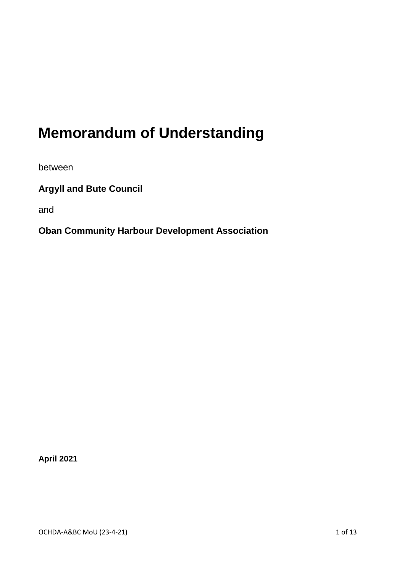# **Memorandum of Understanding**

between

**Argyll and Bute Council**

and

**Oban Community Harbour Development Association**

**April 2021**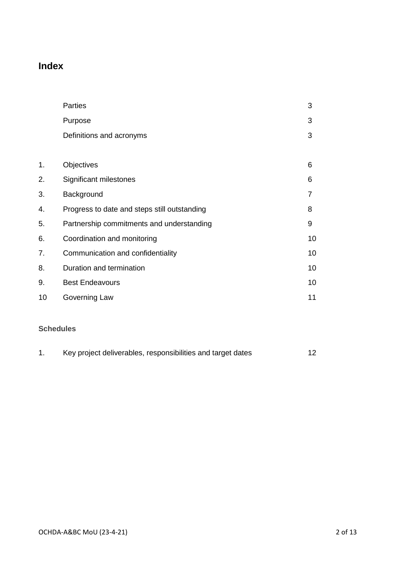# **Index**

|    | Parties                                      | 3  |
|----|----------------------------------------------|----|
|    | Purpose                                      | 3  |
|    | Definitions and acronyms                     | 3  |
|    |                                              |    |
| 1. | Objectives                                   | 6  |
| 2. | Significant milestones                       | 6  |
| 3. | Background                                   | 7  |
| 4. | Progress to date and steps still outstanding | 8  |
| 5. | Partnership commitments and understanding    | 9  |
| 6. | Coordination and monitoring                  | 10 |
| 7. | Communication and confidentiality            | 10 |
| 8. | Duration and termination                     | 10 |
| 9. | <b>Best Endeavours</b>                       | 10 |
| 10 | Governing Law                                | 11 |
|    |                                              |    |

## **Schedules**

|  | Key project deliverables, responsibilities and target dates |  |
|--|-------------------------------------------------------------|--|
|--|-------------------------------------------------------------|--|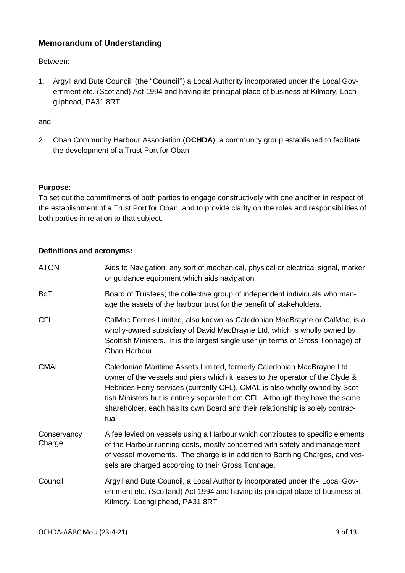### **Memorandum of Understanding**

Between:

1. Argyll and Bute Council (the "**Council**") a Local Authority incorporated under the Local Government etc. (Scotland) Act 1994 and having its principal place of business at Kilmory, Lochgilphead, PA31 8RT

#### and

2. Oban Community Harbour Association (**OCHDA**), a community group established to facilitate the development of a Trust Port for Oban.

#### **Purpose:**

To set out the commitments of both parties to engage constructively with one another in respect of the establishment of a Trust Port for Oban; and to provide clarity on the roles and responsibilities of both parties in relation to that subject.

#### **Definitions and acronyms:**

| <b>ATON</b>           | Aids to Navigation; any sort of mechanical, physical or electrical signal, marker<br>or guidance equipment which aids navigation                                                                                                                                                                                                                                                                                 |
|-----------------------|------------------------------------------------------------------------------------------------------------------------------------------------------------------------------------------------------------------------------------------------------------------------------------------------------------------------------------------------------------------------------------------------------------------|
| <b>BoT</b>            | Board of Trustees; the collective group of independent individuals who man-<br>age the assets of the harbour trust for the benefit of stakeholders.                                                                                                                                                                                                                                                              |
| <b>CFL</b>            | CalMac Ferries Limited, also known as Caledonian MacBrayne or CalMac, is a<br>wholly-owned subsidiary of David MacBrayne Ltd, which is wholly owned by<br>Scottish Ministers. It is the largest single user (in terms of Gross Tonnage) of<br>Oban Harbour.                                                                                                                                                      |
| <b>CMAL</b>           | Caledonian Maritime Assets Limited, formerly Caledonian MacBrayne Ltd<br>owner of the vessels and piers which it leases to the operator of the Clyde &<br>Hebrides Ferry services (currently CFL). CMAL is also wholly owned by Scot-<br>tish Ministers but is entirely separate from CFL. Although they have the same<br>shareholder, each has its own Board and their relationship is solely contrac-<br>tual. |
| Conservancy<br>Charge | A fee levied on vessels using a Harbour which contributes to specific elements<br>of the Harbour running costs, mostly concerned with safety and management<br>of vessel movements. The charge is in addition to Berthing Charges, and ves-<br>sels are charged according to their Gross Tonnage.                                                                                                                |
| Council               | Argyll and Bute Council, a Local Authority incorporated under the Local Gov-<br>ernment etc. (Scotland) Act 1994 and having its principal place of business at<br>Kilmory, Lochgilphead, PA31 8RT                                                                                                                                                                                                                |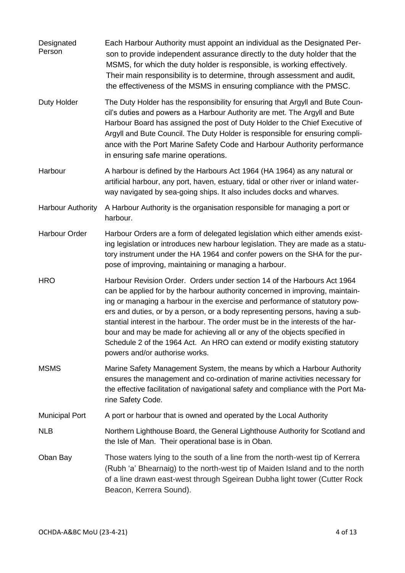**Designated** Person Each Harbour Authority must appoint an individual as the Designated Person to provide independent assurance directly to the duty holder that the MSMS, for which the duty holder is responsible, is working effectively. Their main responsibility is to determine, through assessment and audit, the effectiveness of the MSMS in ensuring compliance with the PMSC. Duty Holder The Duty Holder has the responsibility for ensuring that Argyll and Bute Council's duties and powers as a Harbour Authority are met. The Argyll and Bute Harbour Board has assigned the post of Duty Holder to the Chief Executive of Argyll and Bute Council. The Duty Holder is responsible for ensuring compliance with the Port Marine Safety Code and Harbour Authority performance in ensuring safe marine operations. Harbour A harbour is defined by the Harbours Act 1964 (HA 1964) as any natural or artificial harbour, any port, haven, estuary, tidal or other river or inland waterway navigated by sea-going ships. It also includes docks and wharves. Harbour Authority A Harbour Authority is the organisation responsible for managing a port or harbour. Harbour Order Harbour Orders are a form of delegated legislation which either amends existing legislation or introduces new harbour legislation. They are made as a statutory instrument under the HA 1964 and confer powers on the SHA for the purpose of improving, maintaining or managing a harbour. HRO Harbour Revision Order. Orders under section 14 of the Harbours Act 1964 can be applied for by the harbour authority concerned in improving, maintaining or managing a harbour in the exercise and performance of statutory powers and duties, or by a person, or a body representing persons, having a substantial interest in the harbour. The order must be in the interests of the harbour and may be made for achieving all or any of the objects specified in Schedule 2 of the 1964 Act. An HRO can extend or modify existing statutory powers and/or authorise works. MSMS Marine Safety Management System, the means by which a Harbour Authority ensures the management and co-ordination of marine activities necessary for the effective facilitation of navigational safety and compliance with the Port Marine Safety Code. Municipal Port A port or harbour that is owned and operated by the Local Authority NLB Northern Lighthouse Board, the General Lighthouse Authority for Scotland and the Isle of Man. Their operational base is in Oban. Oban Bay Those waters lying to the south of a line from the north-west tip of Kerrera (Rubh 'a' Bhearnaig) to the north-west tip of Maiden Island and to the north of a line drawn east-west through Sgeirean Dubha light tower (Cutter Rock Beacon, Kerrera Sound).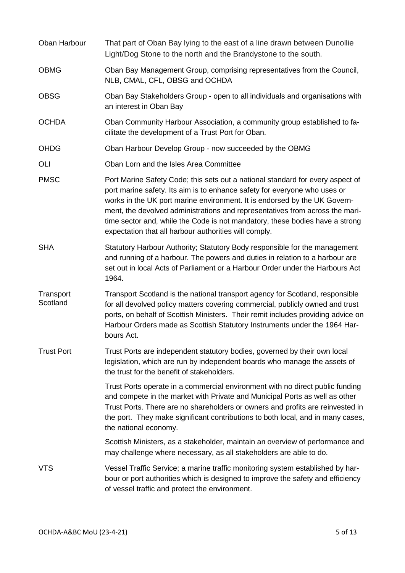| Oban Harbour          | That part of Oban Bay lying to the east of a line drawn between Dunollie<br>Light/Dog Stone to the north and the Brandystone to the south.                                                                                                                                                                                                                                                                                                                        |
|-----------------------|-------------------------------------------------------------------------------------------------------------------------------------------------------------------------------------------------------------------------------------------------------------------------------------------------------------------------------------------------------------------------------------------------------------------------------------------------------------------|
| <b>OBMG</b>           | Oban Bay Management Group, comprising representatives from the Council,<br>NLB, CMAL, CFL, OBSG and OCHDA                                                                                                                                                                                                                                                                                                                                                         |
| <b>OBSG</b>           | Oban Bay Stakeholders Group - open to all individuals and organisations with<br>an interest in Oban Bay                                                                                                                                                                                                                                                                                                                                                           |
| <b>OCHDA</b>          | Oban Community Harbour Association, a community group established to fa-<br>cilitate the development of a Trust Port for Oban.                                                                                                                                                                                                                                                                                                                                    |
| <b>OHDG</b>           | Oban Harbour Develop Group - now succeeded by the OBMG                                                                                                                                                                                                                                                                                                                                                                                                            |
| OLI                   | Oban Lorn and the Isles Area Committee                                                                                                                                                                                                                                                                                                                                                                                                                            |
| <b>PMSC</b>           | Port Marine Safety Code; this sets out a national standard for every aspect of<br>port marine safety. Its aim is to enhance safety for everyone who uses or<br>works in the UK port marine environment. It is endorsed by the UK Govern-<br>ment, the devolved administrations and representatives from across the mari-<br>time sector and, while the Code is not mandatory, these bodies have a strong<br>expectation that all harbour authorities will comply. |
| <b>SHA</b>            | Statutory Harbour Authority; Statutory Body responsible for the management<br>and running of a harbour. The powers and duties in relation to a harbour are<br>set out in local Acts of Parliament or a Harbour Order under the Harbours Act<br>1964.                                                                                                                                                                                                              |
| Transport<br>Scotland | Transport Scotland is the national transport agency for Scotland, responsible<br>for all devolved policy matters covering commercial, publicly owned and trust<br>ports, on behalf of Scottish Ministers. Their remit includes providing advice on<br>Harbour Orders made as Scottish Statutory Instruments under the 1964 Har-<br>bours Act.                                                                                                                     |
| <b>Trust Port</b>     | Trust Ports are independent statutory bodies, governed by their own local<br>legislation, which are run by independent boards who manage the assets of<br>the trust for the benefit of stakeholders.                                                                                                                                                                                                                                                              |
|                       | Trust Ports operate in a commercial environment with no direct public funding<br>and compete in the market with Private and Municipal Ports as well as other<br>Trust Ports. There are no shareholders or owners and profits are reinvested in<br>the port. They make significant contributions to both local, and in many cases,<br>the national economy.                                                                                                        |
|                       | Scottish Ministers, as a stakeholder, maintain an overview of performance and<br>may challenge where necessary, as all stakeholders are able to do.                                                                                                                                                                                                                                                                                                               |
| <b>VTS</b>            | Vessel Traffic Service; a marine traffic monitoring system established by har-<br>bour or port authorities which is designed to improve the safety and efficiency<br>of vessel traffic and protect the environment.                                                                                                                                                                                                                                               |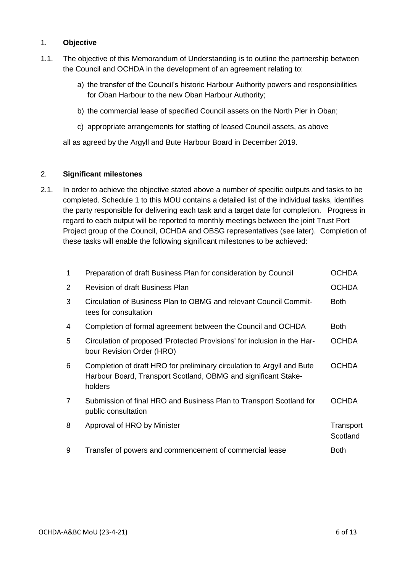#### 1. **Objective**

- 1.1. The objective of this Memorandum of Understanding is to outline the partnership between the Council and OCHDA in the development of an agreement relating to:
	- a) the transfer of the Council's historic Harbour Authority powers and responsibilities for Oban Harbour to the new Oban Harbour Authority;
	- b) the commercial lease of specified Council assets on the North Pier in Oban;
	- c) appropriate arrangements for staffing of leased Council assets, as above

all as agreed by the Argyll and Bute Harbour Board in December 2019.

#### 2. **Significant milestones**

2.1. In order to achieve the objective stated above a number of specific outputs and tasks to be completed. Schedule 1 to this MOU contains a detailed list of the individual tasks, identifies the party responsible for delivering each task and a target date for completion. Progress in regard to each output will be reported to monthly meetings between the joint Trust Port Project group of the Council, OCHDA and OBSG representatives (see later). Completion of these tasks will enable the following significant milestones to be achieved:

| $\mathbf{1}$   | Preparation of draft Business Plan for consideration by Council                                                                                     | <b>OCHDA</b>          |
|----------------|-----------------------------------------------------------------------------------------------------------------------------------------------------|-----------------------|
| $\overline{2}$ | <b>Revision of draft Business Plan</b>                                                                                                              | <b>OCHDA</b>          |
| 3              | Circulation of Business Plan to OBMG and relevant Council Commit-<br>tees for consultation                                                          | <b>Both</b>           |
| 4              | Completion of formal agreement between the Council and OCHDA                                                                                        | <b>Both</b>           |
| 5              | Circulation of proposed 'Protected Provisions' for inclusion in the Har-<br>bour Revision Order (HRO)                                               | <b>OCHDA</b>          |
| 6              | Completion of draft HRO for preliminary circulation to Argyll and Bute<br>Harbour Board, Transport Scotland, OBMG and significant Stake-<br>holders | <b>OCHDA</b>          |
| $\overline{7}$ | Submission of final HRO and Business Plan to Transport Scotland for<br>public consultation                                                          | <b>OCHDA</b>          |
| 8              | Approval of HRO by Minister                                                                                                                         | Transport<br>Scotland |
| 9              | Transfer of powers and commencement of commercial lease                                                                                             | <b>Both</b>           |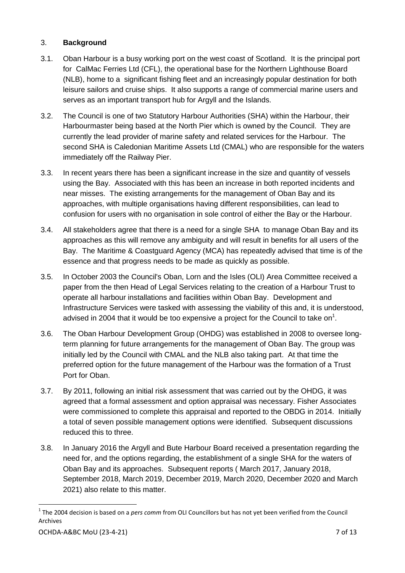#### 3. **Background**

- 3.1. Oban Harbour is a busy working port on the west coast of Scotland. It is the principal port for CalMac Ferries Ltd (CFL), the operational base for the Northern Lighthouse Board (NLB), home to a significant fishing fleet and an increasingly popular destination for both leisure sailors and cruise ships. It also supports a range of commercial marine users and serves as an important transport hub for Argyll and the Islands.
- 3.2. The Council is one of two Statutory Harbour Authorities (SHA) within the Harbour, their Harbourmaster being based at the North Pier which is owned by the Council. They are currently the lead provider of marine safety and related services for the Harbour. The second SHA is Caledonian Maritime Assets Ltd (CMAL) who are responsible for the waters immediately off the Railway Pier.
- 3.3. In recent years there has been a significant increase in the size and quantity of vessels using the Bay. Associated with this has been an increase in both reported incidents and near misses. The existing arrangements for the management of Oban Bay and its approaches, with multiple organisations having different responsibilities, can lead to confusion for users with no organisation in sole control of either the Bay or the Harbour.
- 3.4. All stakeholders agree that there is a need for a single SHA to manage Oban Bay and its approaches as this will remove any ambiguity and will result in benefits for all users of the Bay. The Maritime & Coastguard Agency (MCA) has repeatedly advised that time is of the essence and that progress needs to be made as quickly as possible.
- 3.5. In October 2003 the Council's Oban, Lorn and the Isles (OLI) Area Committee received a paper from the then Head of Legal Services relating to the creation of a Harbour Trust to operate all harbour installations and facilities within Oban Bay. Development and Infrastructure Services were tasked with assessing the viability of this and, it is understood, advised in 2004 that it would be too expensive a project for the Council to take on<sup>1</sup>.
- 3.6. The Oban Harbour Development Group (OHDG) was established in 2008 to oversee longterm planning for future arrangements for the management of Oban Bay. The group was initially led by the Council with CMAL and the NLB also taking part. At that time the preferred option for the future management of the Harbour was the formation of a Trust Port for Oban.
- 3.7. By 2011, following an initial risk assessment that was carried out by the OHDG, it was agreed that a formal assessment and option appraisal was necessary. Fisher Associates were commissioned to complete this appraisal and reported to the OBDG in 2014. Initially a total of seven possible management options were identified. Subsequent discussions reduced this to three.
- 3.8. In January 2016 the Argyll and Bute Harbour Board received a presentation regarding the need for, and the options regarding, the establishment of a single SHA for the waters of Oban Bay and its approaches. Subsequent reports ( March 2017, January 2018, September 2018, March 2019, December 2019, March 2020, December 2020 and March 2021) also relate to this matter.

1

<sup>&</sup>lt;sup>1</sup> The 2004 decision is based on a *pers comm* from OLI Councillors but has not yet been verified from the Council Archives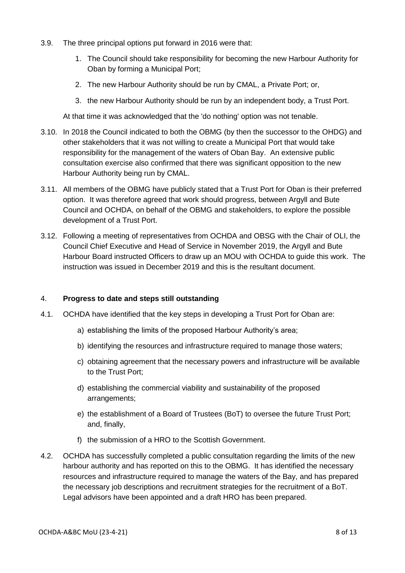- 3.9. The three principal options put forward in 2016 were that:
	- 1. The Council should take responsibility for becoming the new Harbour Authority for Oban by forming a Municipal Port;
	- 2. The new Harbour Authority should be run by CMAL, a Private Port; or,
	- 3. the new Harbour Authority should be run by an independent body, a Trust Port.

At that time it was acknowledged that the 'do nothing' option was not tenable.

- 3.10. In 2018 the Council indicated to both the OBMG (by then the successor to the OHDG) and other stakeholders that it was not willing to create a Municipal Port that would take responsibility for the management of the waters of Oban Bay. An extensive public consultation exercise also confirmed that there was significant opposition to the new Harbour Authority being run by CMAL.
- 3.11. All members of the OBMG have publicly stated that a Trust Port for Oban is their preferred option. It was therefore agreed that work should progress, between Argyll and Bute Council and OCHDA, on behalf of the OBMG and stakeholders, to explore the possible development of a Trust Port.
- 3.12. Following a meeting of representatives from OCHDA and OBSG with the Chair of OLI, the Council Chief Executive and Head of Service in November 2019, the Argyll and Bute Harbour Board instructed Officers to draw up an MOU with OCHDA to guide this work. The instruction was issued in December 2019 and this is the resultant document.

#### 4. **Progress to date and steps still outstanding**

- 4.1. OCHDA have identified that the key steps in developing a Trust Port for Oban are:
	- a) establishing the limits of the proposed Harbour Authority's area;
	- b) identifying the resources and infrastructure required to manage those waters;
	- c) obtaining agreement that the necessary powers and infrastructure will be available to the Trust Port;
	- d) establishing the commercial viability and sustainability of the proposed arrangements;
	- e) the establishment of a Board of Trustees (BoT) to oversee the future Trust Port; and, finally,
	- f) the submission of a HRO to the Scottish Government.
- 4.2. OCHDA has successfully completed a public consultation regarding the limits of the new harbour authority and has reported on this to the OBMG. It has identified the necessary resources and infrastructure required to manage the waters of the Bay, and has prepared the necessary job descriptions and recruitment strategies for the recruitment of a BoT. Legal advisors have been appointed and a draft HRO has been prepared.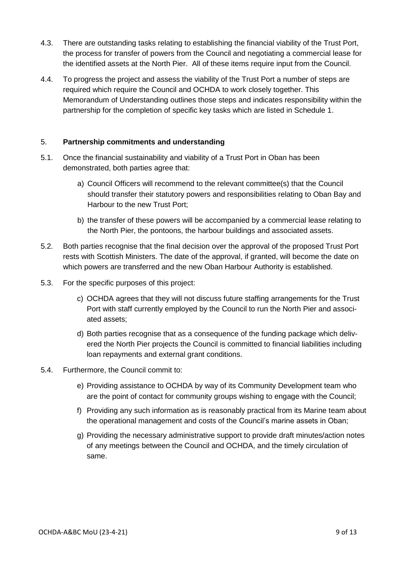- 4.3. There are outstanding tasks relating to establishing the financial viability of the Trust Port, the process for transfer of powers from the Council and negotiating a commercial lease for the identified assets at the North Pier. All of these items require input from the Council.
- 4.4. To progress the project and assess the viability of the Trust Port a number of steps are required which require the Council and OCHDA to work closely together. This Memorandum of Understanding outlines those steps and indicates responsibility within the partnership for the completion of specific key tasks which are listed in Schedule 1.

#### 5. **Partnership commitments and understanding**

- 5.1. Once the financial sustainability and viability of a Trust Port in Oban has been demonstrated, both parties agree that:
	- a) Council Officers will recommend to the relevant committee(s) that the Council should transfer their statutory powers and responsibilities relating to Oban Bay and Harbour to the new Trust Port;
	- b) the transfer of these powers will be accompanied by a commercial lease relating to the North Pier, the pontoons, the harbour buildings and associated assets.
- 5.2. Both parties recognise that the final decision over the approval of the proposed Trust Port rests with Scottish Ministers. The date of the approval, if granted, will become the date on which powers are transferred and the new Oban Harbour Authority is established.
- 5.3. For the specific purposes of this project:
	- c) OCHDA agrees that they will not discuss future staffing arrangements for the Trust Port with staff currently employed by the Council to run the North Pier and associated assets;
	- d) Both parties recognise that as a consequence of the funding package which delivered the North Pier projects the Council is committed to financial liabilities including loan repayments and external grant conditions.
- 5.4. Furthermore, the Council commit to:
	- e) Providing assistance to OCHDA by way of its Community Development team who are the point of contact for community groups wishing to engage with the Council;
	- f) Providing any such information as is reasonably practical from its Marine team about the operational management and costs of the Council's marine assets in Oban;
	- g) Providing the necessary administrative support to provide draft minutes/action notes of any meetings between the Council and OCHDA, and the timely circulation of same.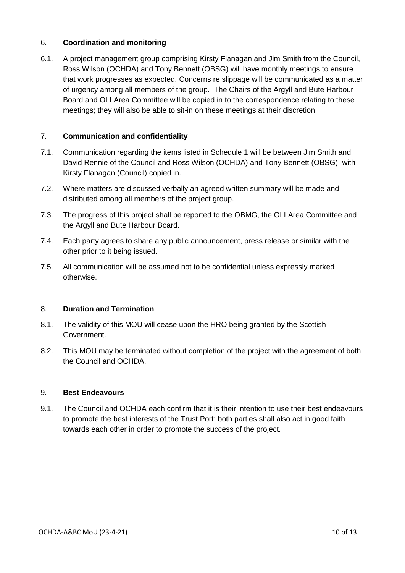#### 6. **Coordination and monitoring**

6.1. A project management group comprising Kirsty Flanagan and Jim Smith from the Council, Ross Wilson (OCHDA) and Tony Bennett (OBSG) will have monthly meetings to ensure that work progresses as expected. Concerns re slippage will be communicated as a matter of urgency among all members of the group. The Chairs of the Argyll and Bute Harbour Board and OLI Area Committee will be copied in to the correspondence relating to these meetings; they will also be able to sit-in on these meetings at their discretion.

#### 7. **Communication and confidentiality**

- 7.1. Communication regarding the items listed in Schedule 1 will be between Jim Smith and David Rennie of the Council and Ross Wilson (OCHDA) and Tony Bennett (OBSG), with Kirsty Flanagan (Council) copied in.
- 7.2. Where matters are discussed verbally an agreed written summary will be made and distributed among all members of the project group.
- 7.3. The progress of this project shall be reported to the OBMG, the OLI Area Committee and the Argyll and Bute Harbour Board.
- 7.4. Each party agrees to share any public announcement, press release or similar with the other prior to it being issued.
- 7.5. All communication will be assumed not to be confidential unless expressly marked otherwise.

#### 8. **Duration and Termination**

- 8.1. The validity of this MOU will cease upon the HRO being granted by the Scottish Government.
- 8.2. This MOU may be terminated without completion of the project with the agreement of both the Council and OCHDA.

#### 9. **Best Endeavours**

9.1. The Council and OCHDA each confirm that it is their intention to use their best endeavours to promote the best interests of the Trust Port; both parties shall also act in good faith towards each other in order to promote the success of the project.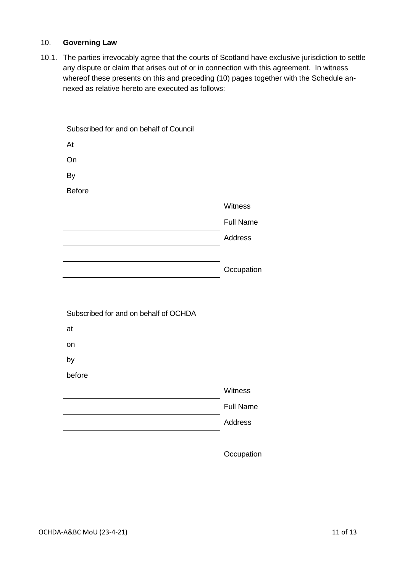#### 10. **Governing Law**

10.1. The parties irrevocably agree that the courts of Scotland have exclusive jurisdiction to settle any dispute or claim that arises out of or in connection with this agreement. In witness whereof these presents on this and preceding (10) pages together with the Schedule annexed as relative hereto are executed as follows:

| Subscribed for and on behalf of Council |                  |
|-----------------------------------------|------------------|
| At                                      |                  |
| On                                      |                  |
| By                                      |                  |
| <b>Before</b>                           |                  |
|                                         | Witness          |
|                                         | <b>Full Name</b> |
|                                         | <b>Address</b>   |
|                                         |                  |
|                                         | Occupation       |
|                                         |                  |
|                                         |                  |
| Subscribed for and on behalf of OCHDA   |                  |
|                                         |                  |
| at                                      |                  |
| on                                      |                  |
| by                                      |                  |
| before                                  |                  |
|                                         | Witness          |
|                                         | <b>Full Name</b> |
|                                         | <b>Address</b>   |
|                                         |                  |
|                                         | Occupation       |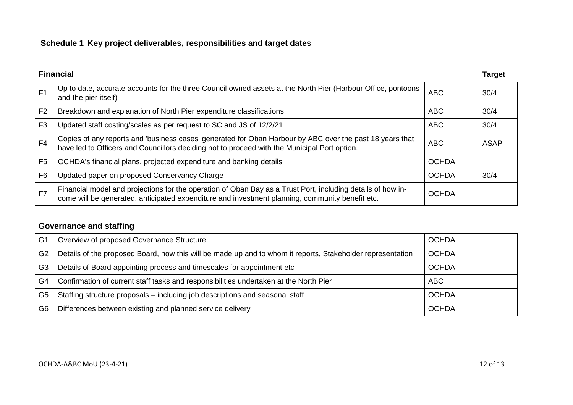# **Schedule 1 Key project deliverables, responsibilities and target dates**

| <b>Financial</b> |                                                                                                                                                                                                                |              | <b>Target</b> |
|------------------|----------------------------------------------------------------------------------------------------------------------------------------------------------------------------------------------------------------|--------------|---------------|
| F <sub>1</sub>   | Up to date, accurate accounts for the three Council owned assets at the North Pier (Harbour Office, pontoons<br>and the pier itself)                                                                           | <b>ABC</b>   | 30/4          |
| F <sub>2</sub>   | Breakdown and explanation of North Pier expenditure classifications                                                                                                                                            | <b>ABC</b>   | 30/4          |
| F <sub>3</sub>   | Updated staff costing/scales as per request to SC and JS of 12/2/21                                                                                                                                            | <b>ABC</b>   | 30/4          |
| F4               | Copies of any reports and 'business cases' generated for Oban Harbour by ABC over the past 18 years that<br>have led to Officers and Councillors deciding not to proceed with the Municipal Port option.       | <b>ABC</b>   | <b>ASAP</b>   |
| F <sub>5</sub>   | OCHDA's financial plans, projected expenditure and banking details                                                                                                                                             | <b>OCHDA</b> |               |
| F <sub>6</sub>   | Updated paper on proposed Conservancy Charge                                                                                                                                                                   | <b>OCHDA</b> | 30/4          |
| F7               | Financial model and projections for the operation of Oban Bay as a Trust Port, including details of how in-<br>come will be generated, anticipated expenditure and investment planning, community benefit etc. | <b>OCHDA</b> |               |

# **Governance and staffing**

| G <sub>1</sub> | Overview of proposed Governance Structure                                                                  | <b>OCHDA</b> |  |
|----------------|------------------------------------------------------------------------------------------------------------|--------------|--|
| G <sub>2</sub> | Details of the proposed Board, how this will be made up and to whom it reports, Stakeholder representation | <b>OCHDA</b> |  |
| G3             | Details of Board appointing process and timescales for appointment etc                                     | <b>OCHDA</b> |  |
| G4             | Confirmation of current staff tasks and responsibilities undertaken at the North Pier                      | <b>ABC</b>   |  |
| G5             | Staffing structure proposals - including job descriptions and seasonal staff                               | <b>OCHDA</b> |  |
| G6             | Differences between existing and planned service delivery                                                  | <b>OCHDA</b> |  |